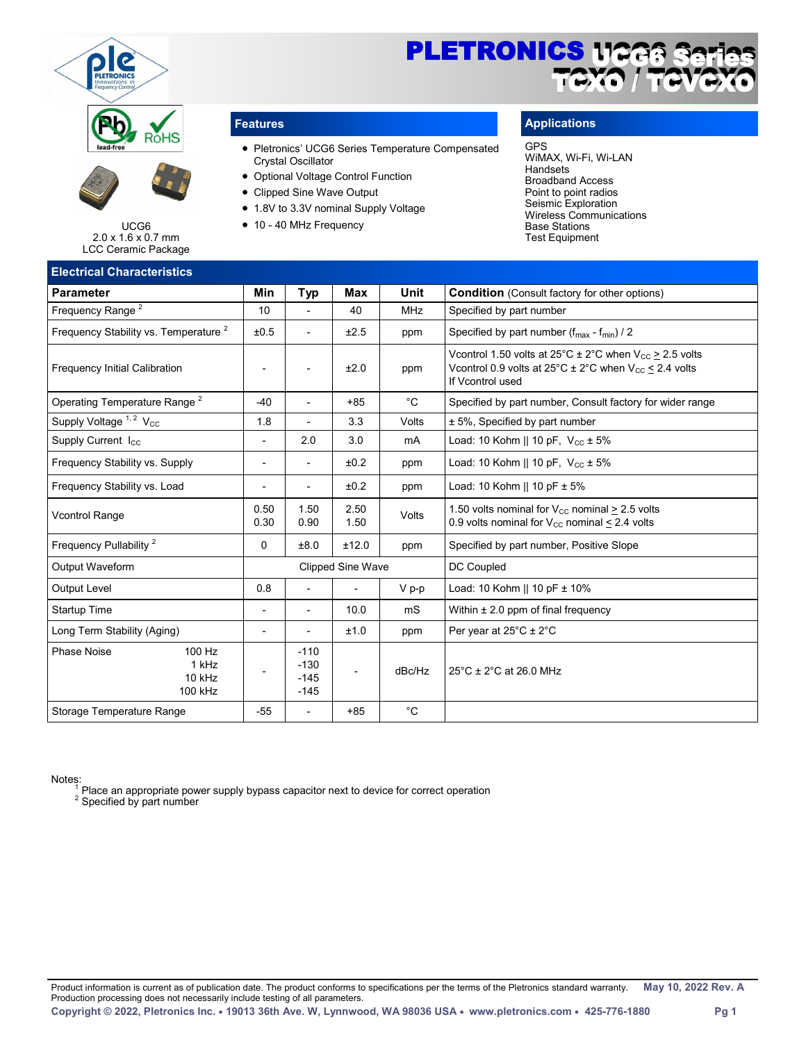



UCG6 2.0 x 1.6 x 0.7 mm LCC Ceramic Package

# **Electrical Characteristics**



- Pletronics' UCG6 Series Temperature Compensated Crystal Oscillator
- Optional Voltage Control Function
- Clipped Sine Wave Output
- 1.8V to 3.3V nominal Supply Voltage
- 10 40 MHz Frequency

# **Features Applications**

#### GPS

WiMAX, Wi-Fi, Wi-LAN Handsets Broadband Access Point to point radios Seismic Exploration Wireless Communications Base Stations Test Equipment

| Min                      | <b>Typ</b>                           | <b>Max</b>     | Unit        | <b>Condition</b> (Consult factory for other options)                                                                                                                                 |  |  |
|--------------------------|--------------------------------------|----------------|-------------|--------------------------------------------------------------------------------------------------------------------------------------------------------------------------------------|--|--|
| 10                       | $\overline{a}$                       | 40             | <b>MHz</b>  | Specified by part number                                                                                                                                                             |  |  |
| ±0.5                     |                                      | ±2.5           | ppm         | Specified by part number $(f_{max} - f_{min})/2$                                                                                                                                     |  |  |
| $\overline{a}$           | L,                                   | ±2.0           | ppm         | Vcontrol 1.50 volts at $25^{\circ}$ C ± 2°C when V <sub>cc</sub> > 2.5 volts<br>Vcontrol 0.9 volts at $25^{\circ}$ C ± 2°C when V <sub>cc</sub> $\leq$ 2.4 volts<br>If Vcontrol used |  |  |
| $-40$                    |                                      | $+85$          | $^{\circ}C$ | Specified by part number, Consult factory for wider range                                                                                                                            |  |  |
| 1.8                      | L,                                   | 3.3            | Volts       | ± 5%, Specified by part number                                                                                                                                                       |  |  |
| $\overline{\phantom{a}}$ | 2.0                                  | 3.0            | mA          | Load: 10 Kohm    10 pF, $V_{CC} \pm 5\%$                                                                                                                                             |  |  |
| $\overline{\phantom{a}}$ |                                      | ±0.2           | ppm         | Load: 10 Kohm    10 pF, $V_{CC} \pm 5\%$                                                                                                                                             |  |  |
|                          |                                      | ±0.2           | ppm         | Load: 10 Kohm    10 pF $\pm$ 5%                                                                                                                                                      |  |  |
| 0.50<br>0.30             | 1.50<br>0.90                         | 2.50<br>1.50   | Volts       | 1.50 volts nominal for $V_{\text{cc}}$ nominal > 2.5 volts<br>0.9 volts nominal for $V_{CC}$ nominal $\leq$ 2.4 volts                                                                |  |  |
| $\Omega$                 | ±8.0                                 | ±12.0          | ppm         | Specified by part number, Positive Slope                                                                                                                                             |  |  |
| <b>Clipped Sine Wave</b> |                                      |                |             | DC Coupled                                                                                                                                                                           |  |  |
| 0.8                      | $\overline{\phantom{a}}$             |                | V p-p       | Load: 10 Kohm    10 pF ± 10%                                                                                                                                                         |  |  |
| $\overline{\phantom{a}}$ | $\overline{\phantom{a}}$             | 10.0           | mS          | Within $\pm 2.0$ ppm of final frequency                                                                                                                                              |  |  |
| $\overline{\phantom{a}}$ | $\overline{\phantom{a}}$             | ±1.0           | ppm         | Per year at $25^{\circ}$ C $\pm$ 2 $^{\circ}$ C                                                                                                                                      |  |  |
|                          | $-110$<br>$-130$<br>$-145$<br>$-145$ | $\overline{a}$ | dBc/Hz      | 25°C ± 2°C at 26.0 MHz                                                                                                                                                               |  |  |
| $-55$                    | $\blacksquare$                       | $+85$          | $^{\circ}C$ |                                                                                                                                                                                      |  |  |
|                          |                                      |                |             |                                                                                                                                                                                      |  |  |

Notes: <sup>1</sup> Place an appropriate power supply bypass capacitor next to device for correct operation

 $2$  Specified by part number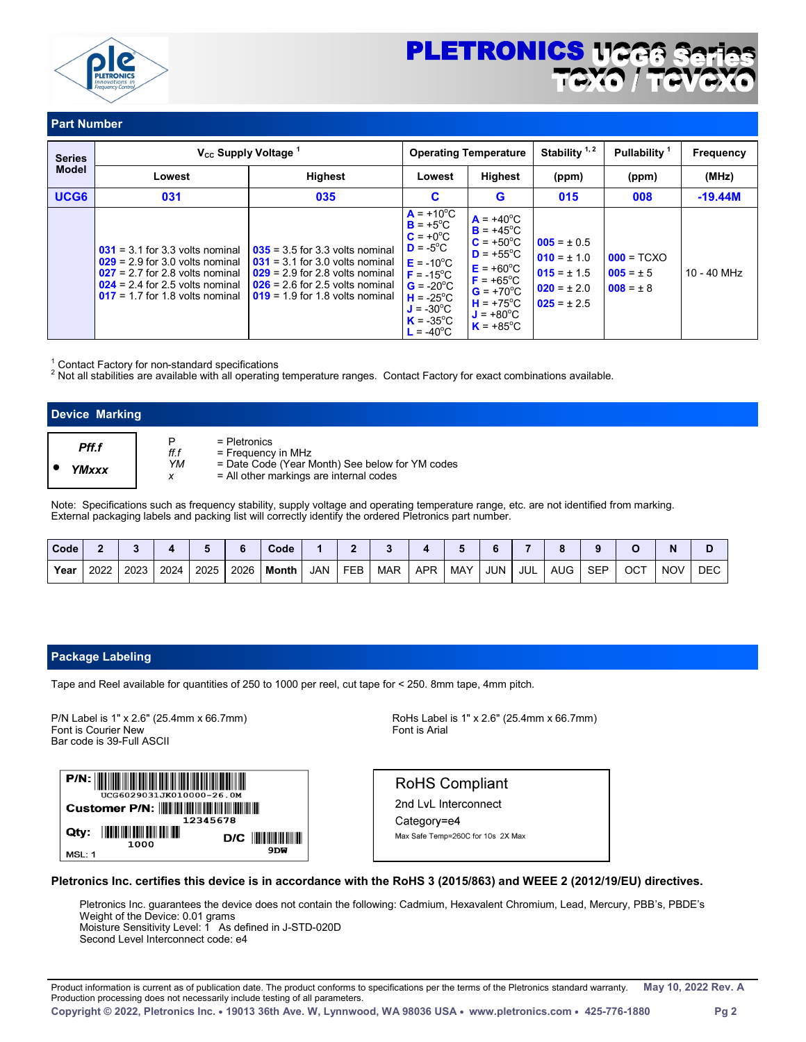

# PLETRONICS 1122 TCXO / TCVCXO

i.

# **Part Number**

| <b>Series</b>    |                                                                                                                                                                                       | V <sub>cc</sub> Supply Voltage <sup>1</sup>                                                                                                                                           |                                                                                                                                                                                                                                             | <b>Operating Temperature</b>                                                                                                                                                                                             | Stability <sup>1,2</sup>                                                                    | <b>Pullability</b>                             | <b>Frequency</b> |
|------------------|---------------------------------------------------------------------------------------------------------------------------------------------------------------------------------------|---------------------------------------------------------------------------------------------------------------------------------------------------------------------------------------|---------------------------------------------------------------------------------------------------------------------------------------------------------------------------------------------------------------------------------------------|--------------------------------------------------------------------------------------------------------------------------------------------------------------------------------------------------------------------------|---------------------------------------------------------------------------------------------|------------------------------------------------|------------------|
| <b>Model</b>     | Lowest                                                                                                                                                                                | <b>Highest</b>                                                                                                                                                                        | Lowest                                                                                                                                                                                                                                      | <b>Highest</b>                                                                                                                                                                                                           | (ppm)                                                                                       | (ppm)                                          | (MHz)            |
| UCG <sub>6</sub> | 031                                                                                                                                                                                   | 035                                                                                                                                                                                   | C                                                                                                                                                                                                                                           | G                                                                                                                                                                                                                        | 015                                                                                         | 008                                            | $-19.44M$        |
|                  | $031 = 3.1$ for 3.3 volts nominal<br>$029 = 2.9$ for 3.0 volts nominal<br>$027 = 2.7$ for 2.8 volts nominal<br>$024 = 2.4$ for 2.5 volts nominal<br>$017 = 1.7$ for 1.8 volts nominal | $035 = 3.5$ for 3.3 volts nominal<br>$031 = 3.1$ for 3.0 volts nominal<br>$029 = 2.9$ for 2.8 volts nominal<br>$026 = 2.6$ for 2.5 volts nominal<br>$019 = 1.9$ for 1.8 volts nominal | $A = +10^{\circ}C$<br>$B = +5^{\circ}C$<br>$C = +0^{\circ}C$<br>$D = -5^{\circ}C$<br>$E = -10^{\circ}C$<br>$F = -15^{\circ}C$<br>$G = -20^{\circ}C$<br>$H = -25^{\circ}C$<br>$J = -30^{\circ}C$<br>$K = -35^{\circ}C$<br>$L = -40^{\circ}C$ | $A = +40^{\circ}C$<br>$B = +45^{\circ}C$<br>$C = +50^{\circ}C$<br>$D = +55^{\circ}C$<br>$E = +60^{\circ}C$<br>$F = +65^{\circ}C$<br>$G = +70^{\circ}C$<br>$H = +75^{\circ}C$<br>$J = +80^{\circ}C$<br>$K = +85^{\circ}C$ | $005 = \pm 0.5$<br>$010 = \pm 1.0$<br>$015 = \pm 1.5$<br>$020 = \pm 2.0$<br>$025 = \pm 2.5$ | $000 = TCXO$<br>$005 = \pm 5$<br>$008 = \pm 8$ | $10 - 40$ MHz    |

 $1$  Contact Factory for non-standard specifications

<sup>2</sup> Not all stabilities are available with all operating temperature ranges. Contact Factory for exact combinations available.

| <b>Device Marking</b> |                 |                                                                                                                                  |
|-----------------------|-----------------|----------------------------------------------------------------------------------------------------------------------------------|
| Pff.f<br>YMxxx        | ff.f<br>YM<br>х | = Pletronics<br>= Frequency in MHz<br>= Date Code (Year Month) See below for YM codes<br>= All other markings are internal codes |

Note: Specifications such as frequency stability, supply voltage and operating temperature range, etc. are not identified from marking. External packaging labels and packing list will correctly identify the ordered Pletronics part number.

| Code |      |      |      |      |      | Code  |     |            |            |            |            |            |     |            |            |     |            |            |
|------|------|------|------|------|------|-------|-----|------------|------------|------------|------------|------------|-----|------------|------------|-----|------------|------------|
| Year | 2022 | 2023 | 2024 | 2025 | 2026 | Month | JAN | <b>FEB</b> | <b>MAR</b> | <b>APR</b> | <b>MAY</b> | <b>JUN</b> | JUL | <b>AUG</b> | <b>SEP</b> | ост | <b>NOV</b> | <b>DEC</b> |

#### **Package Labeling**

Tape and Reel available for quantities of 250 to 1000 per reel, cut tape for < 250. 8mm tape, 4mm pitch.

Font is Courier New Bar code is 39-Full ASCII

 $P/N$ : <u> III Martin Martin III </u> G6029031JK010000-26.0M 12345678  $D/C$   $\| \| \| \| \| \| \| \| \|$ 1000 9DW MSL: 1

P/N Label is 1" x 2.6" (25.4mm x 66.7mm)  $P/N$  Label is 1" x 2.6" (25.4mm x 66.7mm)  $P/N$  Label is 1" x 2.6" (25.4mm x 66.7mm)

**RoHS Compliant** 

2nd LvL Interconnect Category=e4 Max Safe Temp=260C for 10s 2X Max

#### **Pletronics Inc. certifies this device is in accordance with the RoHS 3 (2015/863) and WEEE 2 (2012/19/EU) directives.**

Pletronics Inc. guarantees the device does not contain the following: Cadmium, Hexavalent Chromium, Lead, Mercury, PBB's, PBDE's Weight of the Device: 0.01 grams Moisture Sensitivity Level: 1 As defined in J-STD-020D

Second Level Interconnect code: e4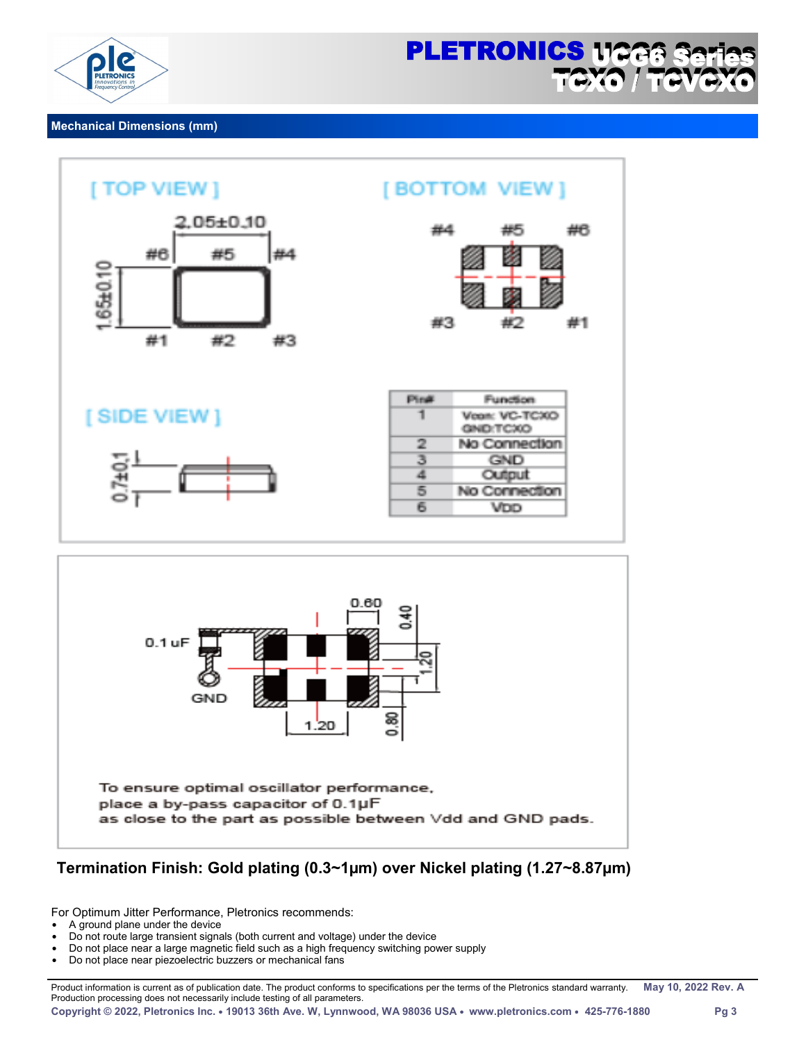

i.

#### **Mechanical Dimensions (mm)**



# **Termination Finish: Gold plating (0.3~1µm) over Nickel plating (1.27~8.87µm)**

For Optimum Jitter Performance, Pletronics recommends:

- A ground plane under the device
- Do not route large transient signals (both current and voltage) under the device
- Do not place near a large magnetic field such as a high frequency switching power supply
- Do not place near piezoelectric buzzers or mechanical fans

Product information is current as of publication date. The product conforms to specifications per the terms of the Pletronics standard warranty. **May 10, 2022 Rev. A**  Production processing does not necessarily include testing of all parameters.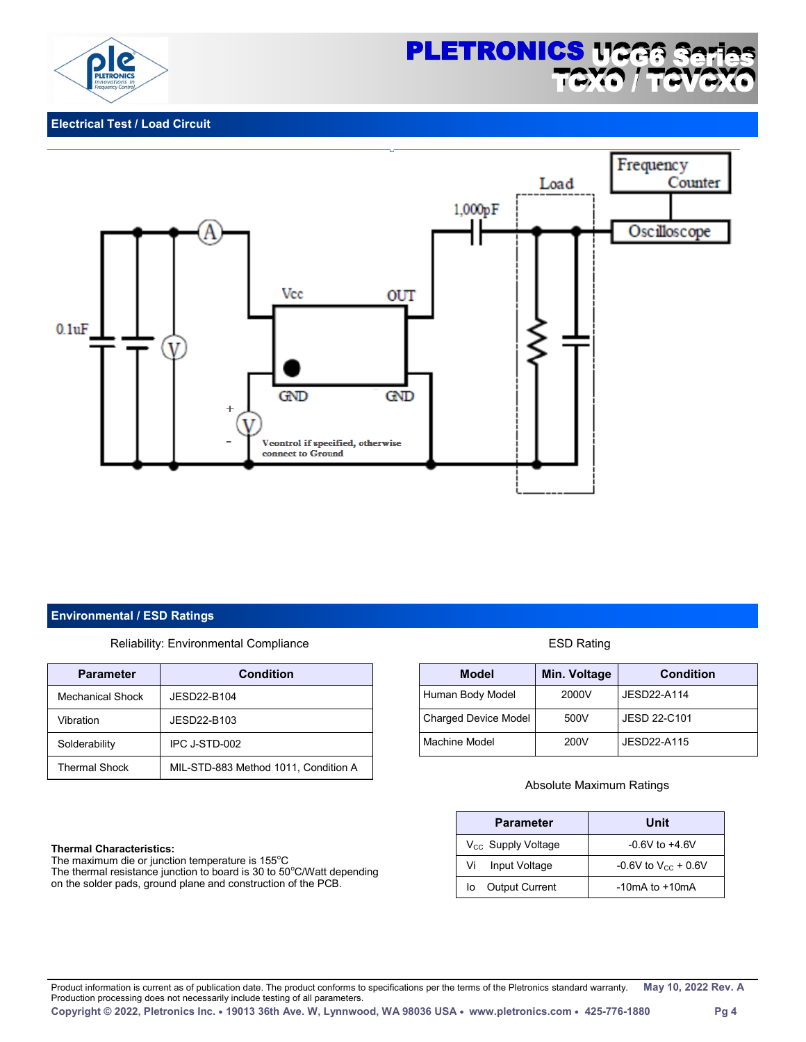



### **Electrical Test / Load Circuit**



#### **Environmental / ESD Ratings**

Reliability: Environmental Compliance **ESD Rating** 

| <b>Parameter</b>     | <b>Condition</b>                     |
|----------------------|--------------------------------------|
| Mechanical Shock     | JESD22-B104                          |
| Vibration            | JESD22-B103                          |
| Solderability        | IPC J-STD-002                        |
| <b>Thermal Shock</b> | MIL-STD-883 Method 1011, Condition A |

#### **Thermal Characteristics:**

The maximum die or junction temperature is 155°C The thermal resistance junction to board is 30 to 50°C/Watt depending on the solder pads, ground plane and construction of the PCB.

| <b>Model</b>                | Min. Voltage | <b>Condition</b> |
|-----------------------------|--------------|------------------|
| Human Body Model            | 2000V        | JESD22-A114      |
| <b>Charged Device Model</b> | 500V         | JESD 22-C101     |
| Machine Model               | 200V         | JESD22-A115      |

#### Absolute Maximum Ratings

| <b>Parameter</b>               | Unit                     |
|--------------------------------|--------------------------|
| V <sub>cc</sub> Supply Voltage | $-0.6V$ to $+4.6V$       |
| Vi<br>Input Voltage            | -0.6V to $V_{cc}$ + 0.6V |
| <b>Output Current</b><br>lo    | $-10mA$ to $+10mA$       |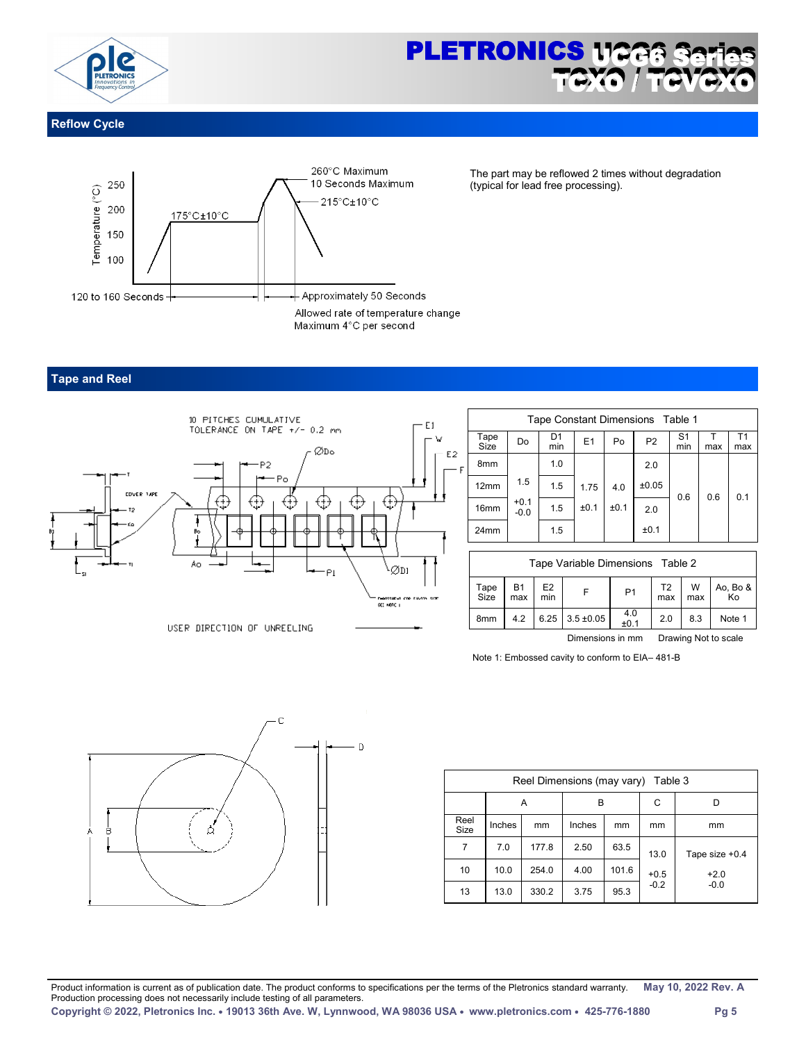

# **PLETRONICS 1122** TOXO i.

## **Reflow Cycle**



The part may be reflowed 2 times without degradation (typical for lead free processing).

### **Tape and Reel**



|   | Tape Constant Dimensions Table 1 |                  |           |      |      |                |                       |     |                       |  |  |  |
|---|----------------------------------|------------------|-----------|------|------|----------------|-----------------------|-----|-----------------------|--|--|--|
|   | Tape<br>Size                     | Do               | D1<br>min | E1   | Po   | P <sub>2</sub> | S <sub>1</sub><br>min | max | T <sub>1</sub><br>max |  |  |  |
| F | 8 <sub>mm</sub>                  |                  | 1.0       |      |      | 2.0            |                       |     |                       |  |  |  |
|   | 12mm                             | 1.5              | 1.5       | 1.75 | 4.0  | ±0.05          | 0.6                   | 0.6 | 0.1                   |  |  |  |
|   | 16 <sub>mm</sub>                 | $+0.1$<br>$-0.0$ | 1.5       | ±0.1 | ±0.1 | 2.0            |                       |     |                       |  |  |  |
|   | 24mm                             |                  | 1.5       |      |      | ±0.1           |                       |     |                       |  |  |  |

| Tape Variable Dimensions Table 2 |                  |                       |                |                      |                       |          |                |  |  |
|----------------------------------|------------------|-----------------------|----------------|----------------------|-----------------------|----------|----------------|--|--|
| Tape<br>Size                     | <b>B1</b><br>max | E <sub>2</sub><br>min |                | P <sub>1</sub>       | T <sub>2</sub><br>max | W<br>max | Ao, Bo &<br>Ko |  |  |
| 8 <sub>mm</sub>                  | 4.2              | 6.25                  | $3.5 \pm 0.05$ | $4.0 + 0.1$          | 2.0                   | 8.3      | Note 1         |  |  |
|                                  |                  |                       |                | Drawing Not to scale |                       |          |                |  |  |

Note 1: Embossed cavity to conform to EIA– 481-B



| Reel Dimensions (may vary)<br>Table 3 |        |       |        |       |        |                |  |  |  |  |
|---------------------------------------|--------|-------|--------|-------|--------|----------------|--|--|--|--|
|                                       |        | Α     | в      | C     |        |                |  |  |  |  |
| Reel<br>Size                          | Inches | mm    | Inches | mm    | mm     | mm             |  |  |  |  |
| 7                                     | 7.0    | 177.8 | 2.50   | 63.5  | 13.0   | Tape size +0.4 |  |  |  |  |
| 10                                    | 10.0   | 254.0 | 4.00   | 101.6 | $+0.5$ | $+2.0$         |  |  |  |  |
| 13                                    | 13.0   | 330.2 | 3.75   | 95.3  | $-0.2$ | $-0.0$         |  |  |  |  |

Product information is current as of publication date. The product conforms to specifications per the terms of the Pletronics standard warranty. **May 10, 2022 Rev. A**  Production processing does not necessarily include testing of all parameters. **Copyright © 2022, Pletronics Inc. 19013 36th Ave. W, Lynnwood, WA 98036 USA www.pletronics.com 425-776-1880 Pg 5**